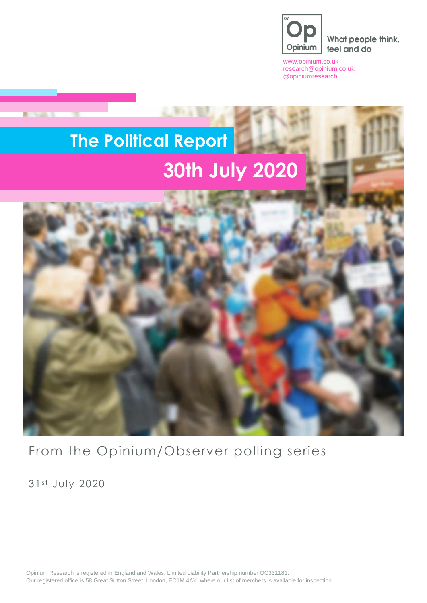

What people think, feel and do

[www.opinium.co.uk](http://www.opinium.co.uk/) [research@opinium.co.uk](mailto:research@opinium.co.uk) @opiniumresearch

# **The Political Report 30th July 2020**



From the Opinium/Observer polling series

31st July 2020

**DOM: N** 

Opinium Research is registered in England and Wales. Limited Liability Partnership number OC331181. Our registered office is 58 Great Sutton Street, London, EC1M 4AY, where our list of members is available for inspection.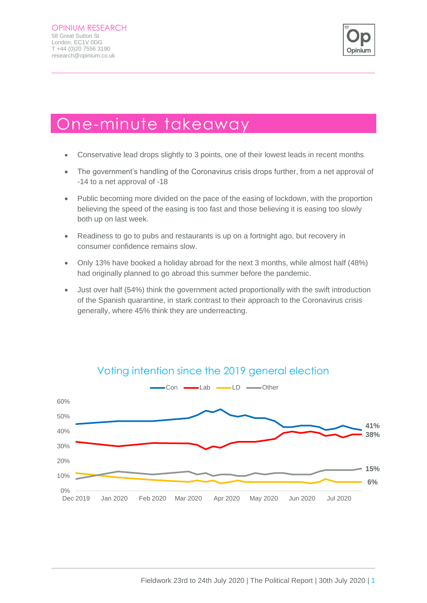

### One-minute takeaway

- Conservative lead drops slightly to 3 points, one of their lowest leads in recent months
- The government's handling of the Coronavirus crisis drops further, from a net approval of -14 to a net approval of -18
- Public becoming more divided on the pace of the easing of lockdown, with the proportion believing the speed of the easing is too fast and those believing it is easing too slowly both up on last week.
- Readiness to go to pubs and restaurants is up on a fortnight ago, but recovery in consumer confidence remains slow.
- Only 13% have booked a holiday abroad for the next 3 months, while almost half (48%) had originally planned to go abroad this summer before the pandemic.
- Just over half (54%) think the government acted proportionally with the swift introduction of the Spanish quarantine, in stark contrast to their approach to the Coronavirus crisis generally, where 45% think they are underreacting.



#### Voting intention since the 2019 general election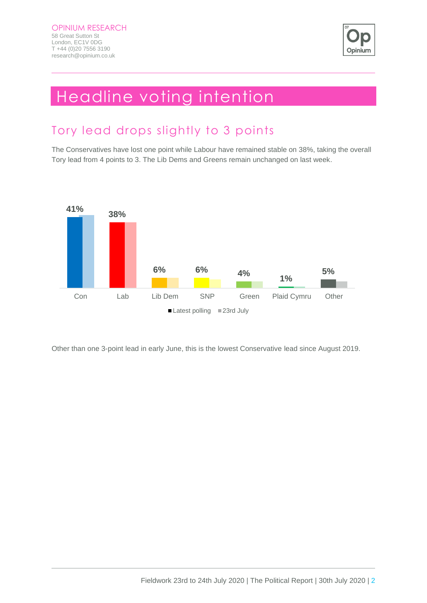

### Headline voting intention

### Tory lead drops slightly to 3 points

The Conservatives have lost one point while Labour have remained stable on 38%, taking the overall Tory lead from 4 points to 3. The Lib Dems and Greens remain unchanged on last week.



Other than one 3-point lead in early June, this is the lowest Conservative lead since August 2019.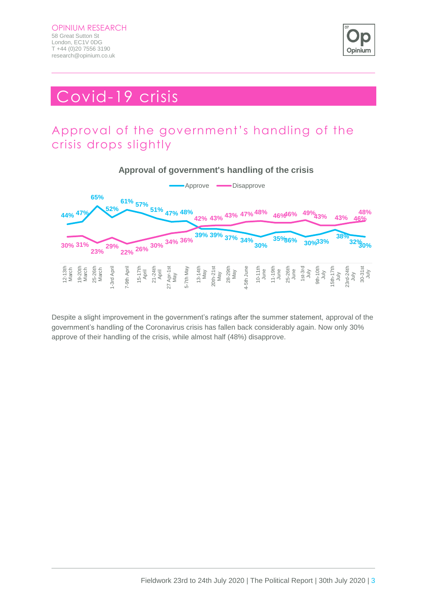

### Covid-19 crisis

### Approval of the government's handling of the crisis drops slightly



Despite a slight improvement in the government's ratings after the summer statement, approval of the government's handling of the Coronavirus crisis has fallen back considerably again. Now only 30% approve of their handling of the crisis, while almost half (48%) disapprove.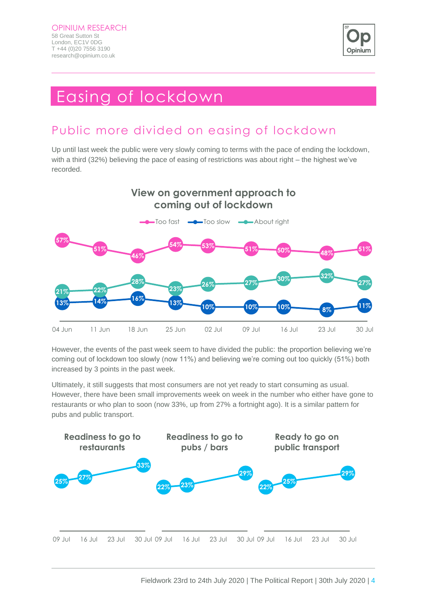

### Easing of lockdown

### Public more divided on easing of lockdown

Up until last week the public were very slowly coming to terms with the pace of ending the lockdown, with a third (32%) believing the pace of easing of restrictions was about right – the highest we've recorded.



However, the events of the past week seem to have divided the public: the proportion believing we're coming out of lockdown too slowly (now 11%) and believing we're coming out too quickly (51%) both increased by 3 points in the past week.

Ultimately, it still suggests that most consumers are not yet ready to start consuming as usual. However, there have been small improvements week on week in the number who either have gone to restaurants or who plan to soon (now 33%, up from 27% a fortnight ago). It is a similar pattern for pubs and public transport.

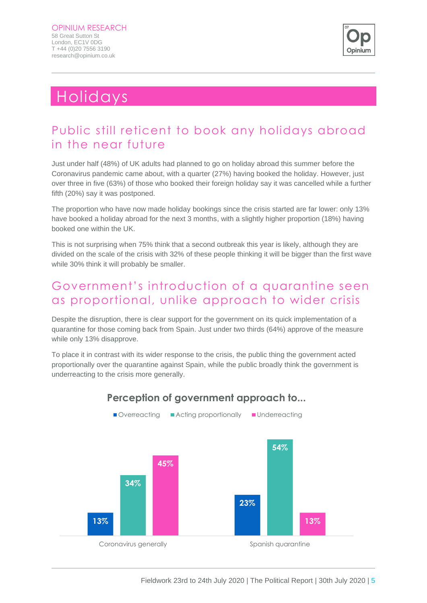

### Holidays

#### Public still reticent to book any holidays abroad in the near future

Just under half (48%) of UK adults had planned to go on holiday abroad this summer before the Coronavirus pandemic came about, with a quarter (27%) having booked the holiday. However, just over three in five (63%) of those who booked their foreign holiday say it was cancelled while a further fifth (20%) say it was postponed.

The proportion who have now made holiday bookings since the crisis started are far lower: only 13% have booked a holiday abroad for the next 3 months, with a slightly higher proportion (18%) having booked one within the UK.

This is not surprising when 75% think that a second outbreak this year is likely, although they are divided on the scale of the crisis with 32% of these people thinking it will be bigger than the first wave while 30% think it will probably be smaller.

#### Government's introduction of a quarantine seen as proportional, unlike approach to wider crisis

Despite the disruption, there is clear support for the government on its quick implementation of a quarantine for those coming back from Spain. Just under two thirds (64%) approve of the measure while only 13% disapprove.

To place it in contrast with its wider response to the crisis, the public thing the government acted proportionally over the quarantine against Spain, while the public broadly think the government is underreacting to the crisis more generally.



#### **Perception of government approach to...**